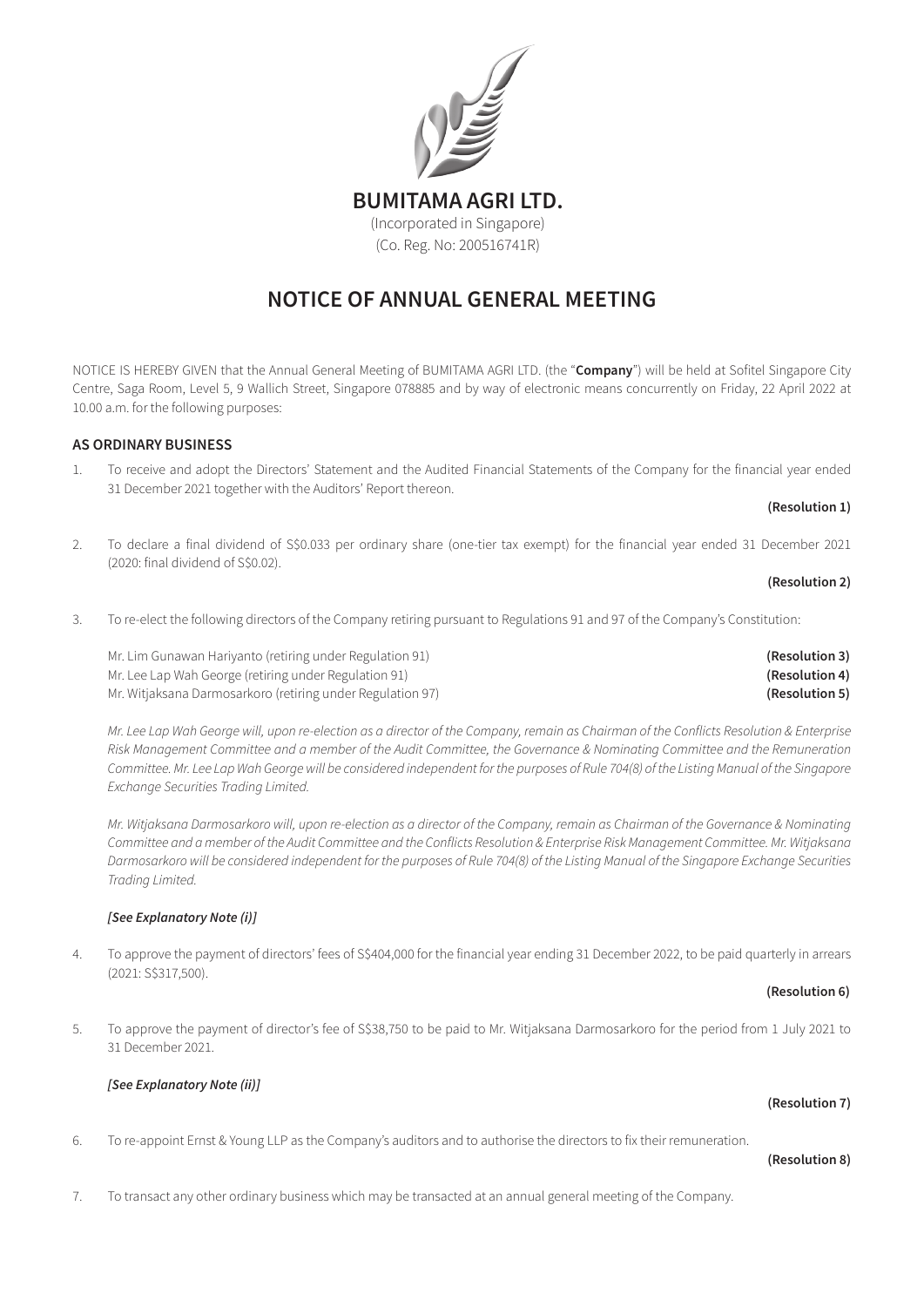

# NOTICE OF ANNUAL GENERAL MEETING

NOTICE IS HEREBY GIVEN that the Annual General Meeting of BUMITAMA AGRI LTD. (the "Company") will be held at Sofitel Singapore City Centre, Saga Room, Level 5, 9 Wallich Street, Singapore 078885 and by way of electronic means concurrently on Friday, 22 April 2022 at 10.00 a.m. for the following purposes:

# AS ORDINARY BUSINESS

1. To receive and adopt the Directors' Statement and the Audited Financial Statements of the Company for the financial year ended 31 December 2021 together with the Auditors' Report thereon.

### (Resolution 1)

2. To declare a final dividend of S\$0.033 per ordinary share (one-tier tax exempt) for the financial year ended 31 December 2021 (2020: final dividend of S\$0.02).

### (Resolution 2)

3. To re-elect the following directors of the Company retiring pursuant to Regulations 91 and 97 of the Company's Constitution:

Mr. Lim Gunawan Hariyanto (retiring under Regulation 91) **Example 20 and Control** Constantion 3 Mr. Lee Lap Wah George (retiring under Regulation 91) (Resolution 4) Mr. Witjaksana Darmosarkoro (retiring under Regulation 97) **(Resolution 5) (Resolution 5) (Resolution 5)** 

Mr. Lee Lap Wah George will, upon re-election as a director of the Company, remain as Chairman of the Conflicts Resolution & Enterprise Risk Management Committee and a member of the Audit Committee, the Governance & Nominating Committee and the Remuneration Committee. Mr. Lee Lap Wah George will be considered independent for the purposes of Rule 704(8) of the Listing Manual of the Singapore *Exchange Securities Trading Limited.*

Mr. Witjaksana Darmosarkoro will, upon re-election as a director of the Company, remain as Chairman of the Governance & Nominating Committee and a member of the Audit Committee and the Conflicts Resolution & Enterprise Risk Management Committee. Mr. Witjaksana Darmosarkoro will be considered independent for the purposes of Rule 704(8) of the Listing Manual of the Singapore Exchange Securities *Trading Limited.*

# *[See Explanatory Note (i)]*

4. To approve the payment of directors' fees of S\$404,000 for the financial year ending 31 December 2022, to be paid quarterly in arrears (2021: S\$317,500).

## (Resolution 6)

5. To approve the payment of director's fee of S\$38,750 to be paid to Mr. Witjaksana Darmosarkoro for the period from 1 July 2021 to 31 December 2021.

(Resolution 7)

# *[See Explanatory Note (ii)]*

# 6. To re-appoint Ernst & Young LLP as the Company's auditors and to authorise the directors to fix their remuneration.

### (Resolution 8)

7. To transact any other ordinary business which may be transacted at an annual general meeting of the Company.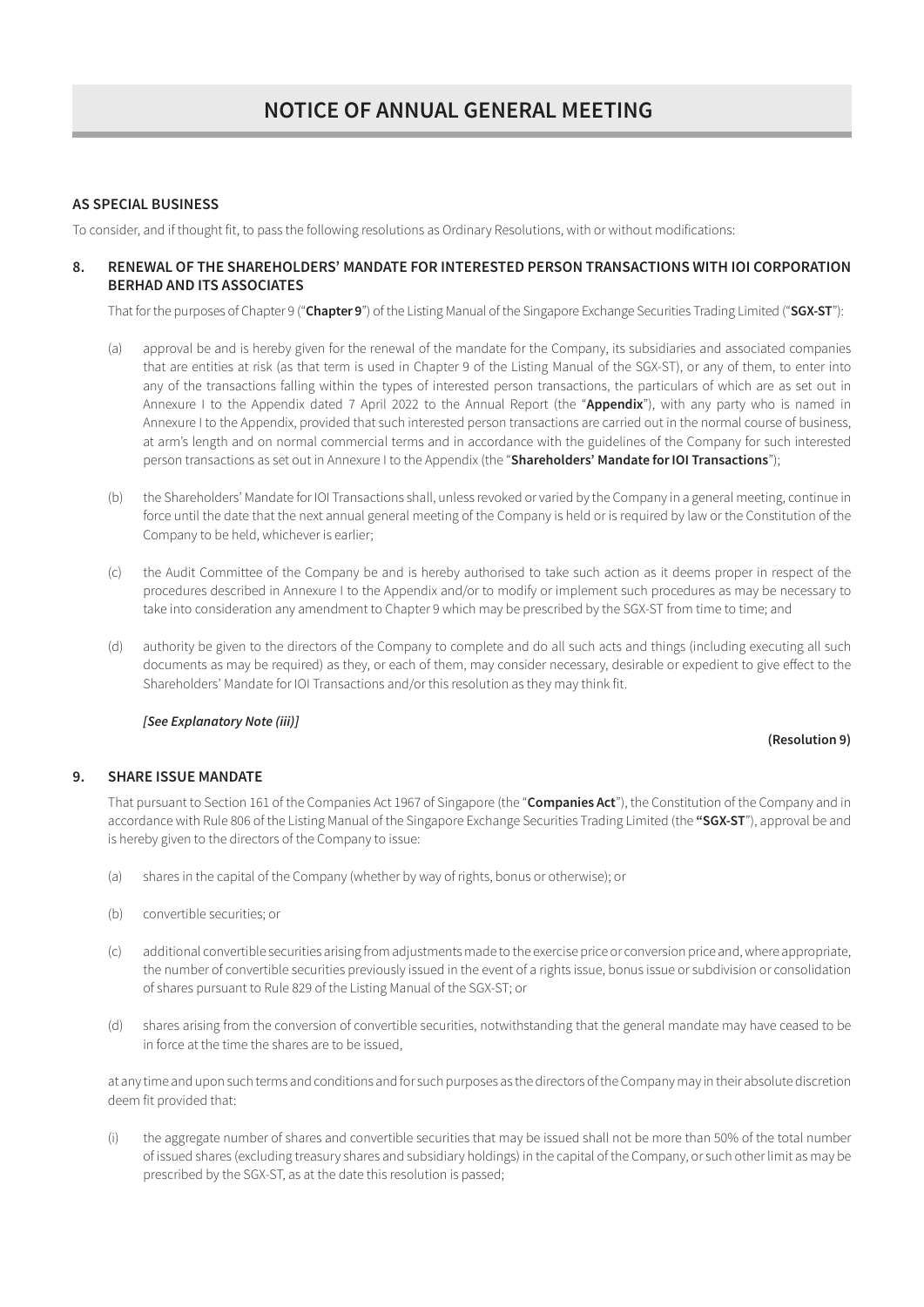# AS SPECIAL BUSINESS

To consider, and if thought fit, to pass the following resolutions as Ordinary Resolutions, with or without modifications:

# 8. RENEWAL OF THE SHAREHOLDERS' MANDATE FOR INTERESTED PERSON TRANSACTIONS WITH IOI CORPORATION BERHAD AND ITS ASSOCIATES

That for the purposes of Chapter 9 ("Chapter 9") of the Listing Manual of the Singapore Exchange Securities Trading Limited ("SGX-ST"):

- (a) approval be and is hereby given for the renewal of the mandate for the Company, its subsidiaries and associated companies that are entities at risk (as that term is used in Chapter 9 of the Listing Manual of the SGX-ST), or any of them, to enter into any of the transactions falling within the types of interested person transactions, the particulars of which are as set out in Annexure I to the Appendix dated 7 April 2022 to the Annual Report (the "Appendix"), with any party who is named in Annexure I to the Appendix, provided that such interested person transactions are carried out in the normal course of business, at arm's length and on normal commercial terms and in accordance with the guidelines of the Company for such interested person transactions as set out in Annexure I to the Appendix (the "Shareholders' Mandate for IOI Transactions");
- (b) the Shareholders' Mandate for IOI Transactions shall, unless revoked or varied by the Company in a general meeting, continue in force until the date that the next annual general meeting of the Company is held or is required by law or the Constitution of the Company to be held, whichever is earlier;
- (c) the Audit Committee of the Company be and is hereby authorised to take such action as it deems proper in respect of the procedures described in Annexure I to the Appendix and/or to modify or implement such procedures as may be necessary to take into consideration any amendment to Chapter 9 which may be prescribed by the SGX-ST from time to time; and
- (d) authority be given to the directors of the Company to complete and do all such acts and things (including executing all such documents as may be required) as they, or each of them, may consider necessary, desirable or expedient to give effect to the Shareholders' Mandate for IOI Transactions and/or this resolution as they may think fit.

# *[See Explanatory Note (iii)]*

# (Resolution 9)

# 9. SHARE ISSUE MANDATE

That pursuant to Section 161 of the Companies Act 1967 of Singapore (the "**Companies Act**"), the Constitution of the Company and in accordance with Rule 806 of the Listing Manual of the Singapore Exchange Securities Trading Limited (the "SGX-ST"), approval be and is hereby given to the directors of the Company to issue:

- (a) shares in the capital of the Company (whether by way of rights, bonus or otherwise); or
- (b) convertible securities; or
- (c) additional convertible securities arising from adjustments made to the exercise price or conversion price and, where appropriate, the number of convertible securities previously issued in the event of a rights issue, bonus issue or subdivision or consolidation of shares pursuant to Rule 829 of the Listing Manual of the SGX-ST; or
- (d) shares arising from the conversion of convertible securities, notwithstanding that the general mandate may have ceased to be in force at the time the shares are to be issued,

at any time and upon such terms and conditions and for such purposes as the directors of the Company may in their absolute discretion deem fit provided that:

(i) the aggregate number of shares and convertible securities that may be issued shall not be more than 50% of the total number of issued shares (excluding treasury shares and subsidiary holdings) in the capital of the Company, or such other limit as may be prescribed by the SGX-ST, as at the date this resolution is passed;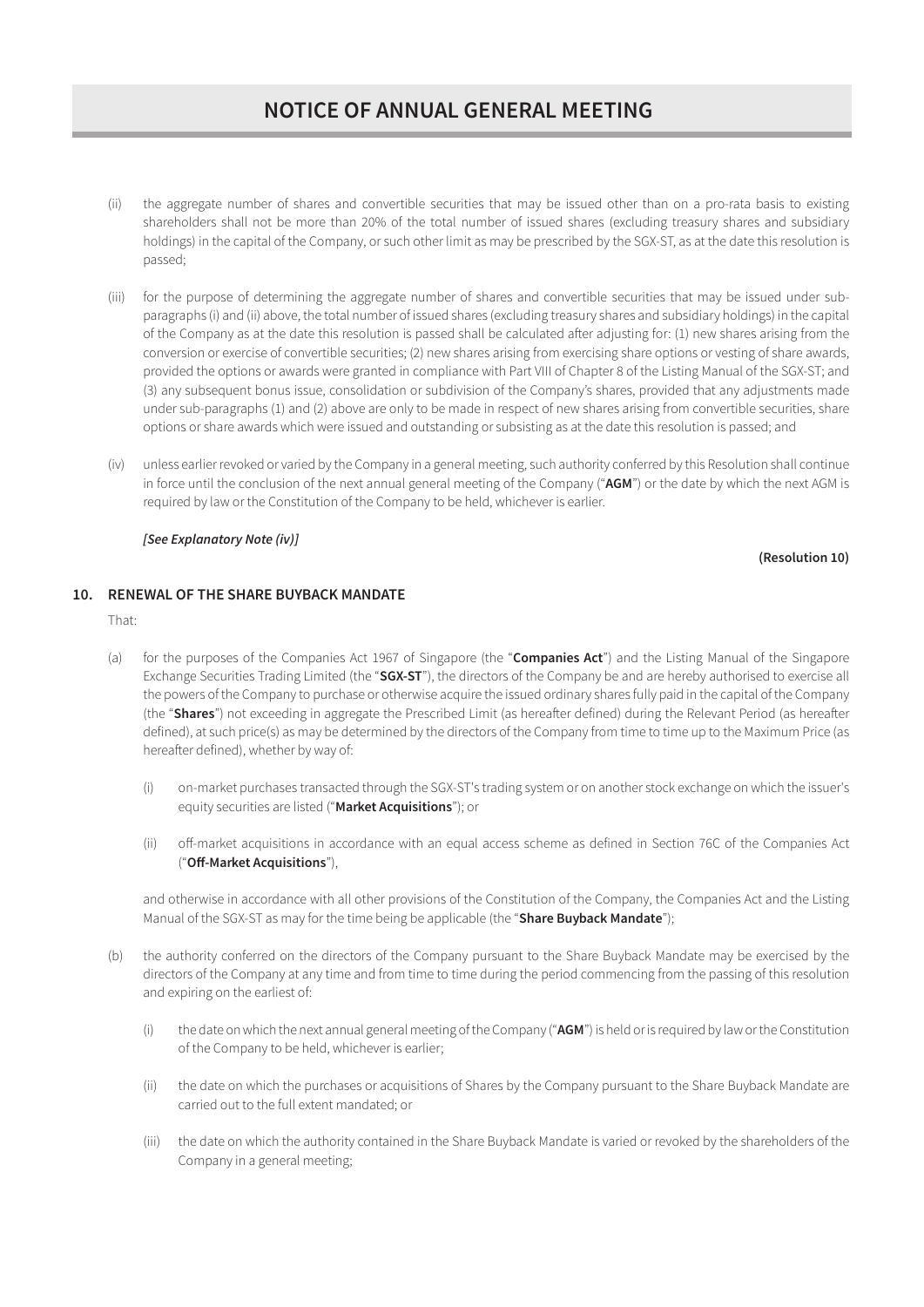# NOTICE OF ANNUAL GENERAL MEETING

- (ii) the aggregate number of shares and convertible securities that may be issued other than on a pro-rata basis to existing shareholders shall not be more than 20% of the total number of issued shares (excluding treasury shares and subsidiary holdings) in the capital of the Company, or such other limit as may be prescribed by the SGX-ST, as at the date this resolution is passed;
- (iii) for the purpose of determining the aggregate number of shares and convertible securities that may be issued under subparagraphs (i) and (ii) above, the total number of issued shares (excluding treasury shares and subsidiary holdings) in the capital of the Company as at the date this resolution is passed shall be calculated after adjusting for: (1) new shares arising from the conversion or exercise of convertible securities; (2) new shares arising from exercising share options or vesting of share awards, provided the options or awards were granted in compliance with Part VIII of Chapter 8 of the Listing Manual of the SGX-ST; and (3) any subsequent bonus issue, consolidation or subdivision of the Company's shares, provided that any adjustments made under sub-paragraphs (1) and (2) above are only to be made in respect of new shares arising from convertible securities, share options or share awards which were issued and outstanding or subsisting as at the date this resolution is passed; and
- (iv) unless earlier revoked or varied by the Company in a general meeting, such authority conferred by this Resolution shall continue in force until the conclusion of the next annual general meeting of the Company ("AGM") or the date by which the next AGM is required by law or the Constitution of the Company to be held, whichever is earlier.

## *[See Explanatory Note (iv)]*

### (Resolution 10)

# 10. RENEWAL OF THE SHARE BUYBACK MANDATE

That:

- (a) for the purposes of the Companies Act 1967 of Singapore (the "Companies Act") and the Listing Manual of the Singapore Exchange Securities Trading Limited (the "SGX-ST"), the directors of the Company be and are hereby authorised to exercise all the powers of the Company to purchase or otherwise acquire the issued ordinary shares fully paid in the capital of the Company (the "Shares") not exceeding in aggregate the Prescribed Limit (as hereafter defined) during the Relevant Period (as hereafter defined), at such price(s) as may be determined by the directors of the Company from time to time up to the Maximum Price (as hereafter defined), whether by way of:
	- (i) on-market purchases transacted through the SGX-ST's trading system or on another stock exchange on which the issuer's equity securities are listed ("Market Acquisitions"); or
	- (ii) off-market acquisitions in accordance with an equal access scheme as defined in Section 76C of the Companies Act ("Off-Market Acquisitions"),

and otherwise in accordance with all other provisions of the Constitution of the Company, the Companies Act and the Listing Manual of the SGX-ST as may for the time being be applicable (the "Share Buyback Mandate");

- (b) the authority conferred on the directors of the Company pursuant to the Share Buyback Mandate may be exercised by the directors of the Company at any time and from time to time during the period commencing from the passing of this resolution and expiring on the earliest of:
	- (i) the date on which the next annual general meeting of the Company (" $AGM$ ") is held or is required by law or the Constitution of the Company to be held, whichever is earlier;
	- (ii) the date on which the purchases or acquisitions of Shares by the Company pursuant to the Share Buyback Mandate are carried out to the full extent mandated; or
	- (iii) the date on which the authority contained in the Share Buyback Mandate is varied or revoked by the shareholders of the Company in a general meeting;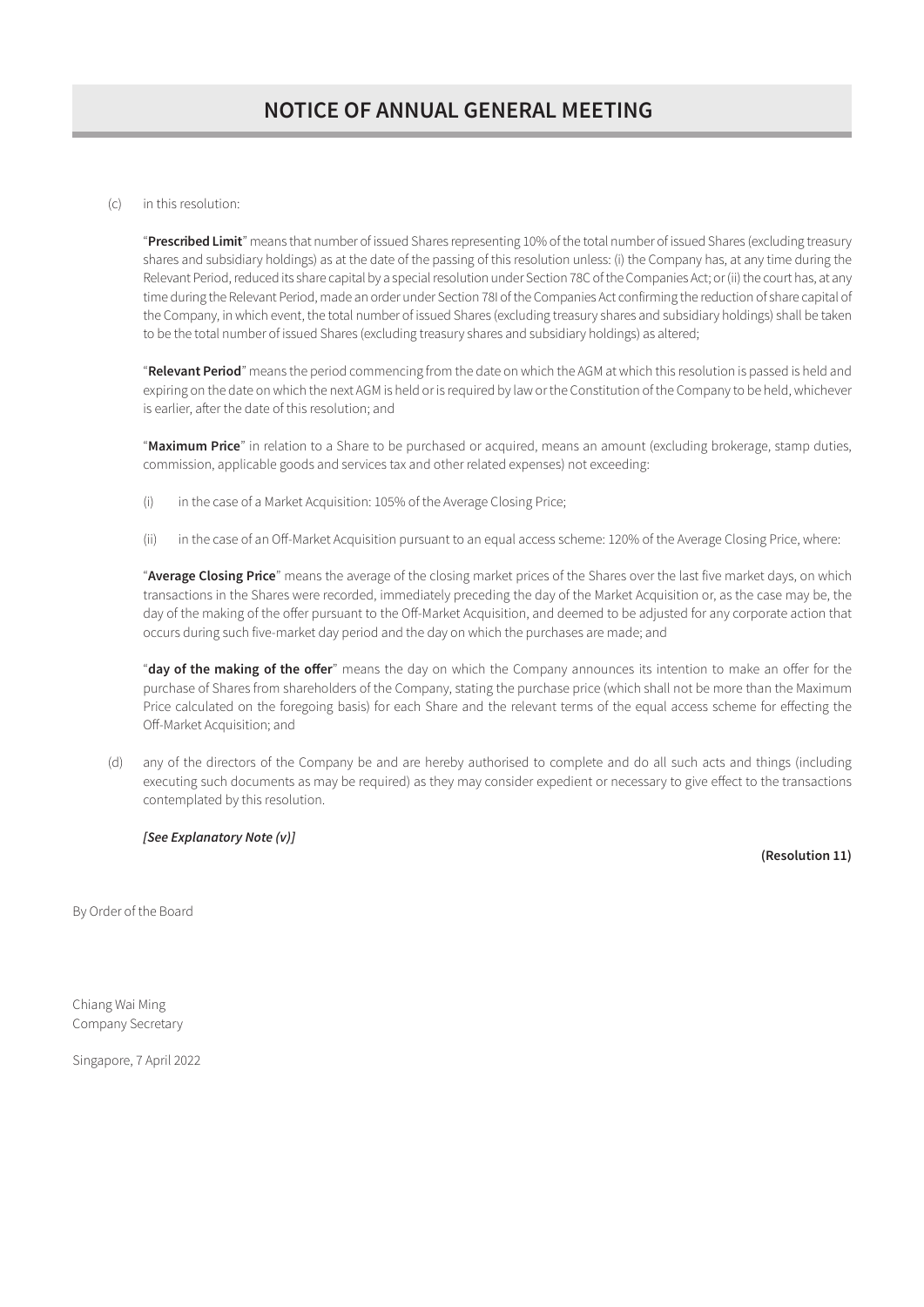## (c) in this resolution:

"Prescribed Limit" means that number of issued Shares representing 10% of the total number of issued Shares (excluding treasury shares and subsidiary holdings) as at the date of the passing of this resolution unless: (i) the Company has, at any time during the Relevant Period, reduced its share capital by a special resolution under Section 78C of the Companies Act; or (ii) the court has, at any time during the Relevant Period, made an order under Section 78I of the Companies Act confirming the reduction of share capital of the Company, in which event, the total number of issued Shares (excluding treasury shares and subsidiary holdings) shall be taken to be the total number of issued Shares (excluding treasury shares and subsidiary holdings) as altered;

"Relevant Period" means the period commencing from the date on which the AGM at which this resolution is passed is held and expiring on the date on which the next AGM is held or is required by law or the Constitution of the Company to be held, whichever is earlier, after the date of this resolution; and

"Maximum Price" in relation to a Share to be purchased or acquired, means an amount (excluding brokerage, stamp duties, commission, applicable goods and services tax and other related expenses) not exceeding:

- (i) in the case of a Market Acquisition: 105% of the Average Closing Price;
- (ii) in the case of an Off-Market Acquisition pursuant to an equal access scheme: 120% of the Average Closing Price, where:

"Average Closing Price" means the average of the closing market prices of the Shares over the last five market days, on which transactions in the Shares were recorded, immediately preceding the day of the Market Acquisition or, as the case may be, the day of the making of the offer pursuant to the Off-Market Acquisition, and deemed to be adjusted for any corporate action that occurs during such five-market day period and the day on which the purchases are made; and

"day of the making of the offer" means the day on which the Company announces its intention to make an offer for the purchase of Shares from shareholders of the Company, stating the purchase price (which shall not be more than the Maximum Price calculated on the foregoing basis) for each Share and the relevant terms of the equal access scheme for effecting the Off-Market Acquisition; and

(d) any of the directors of the Company be and are hereby authorised to complete and do all such acts and things (including executing such documents as may be required) as they may consider expedient or necessary to give effect to the transactions contemplated by this resolution.

# *[See Explanatory Note (v)]*

(Resolution 11)

By Order of the Board

Chiang Wai Ming Company Secretary

Singapore, 7 April 2022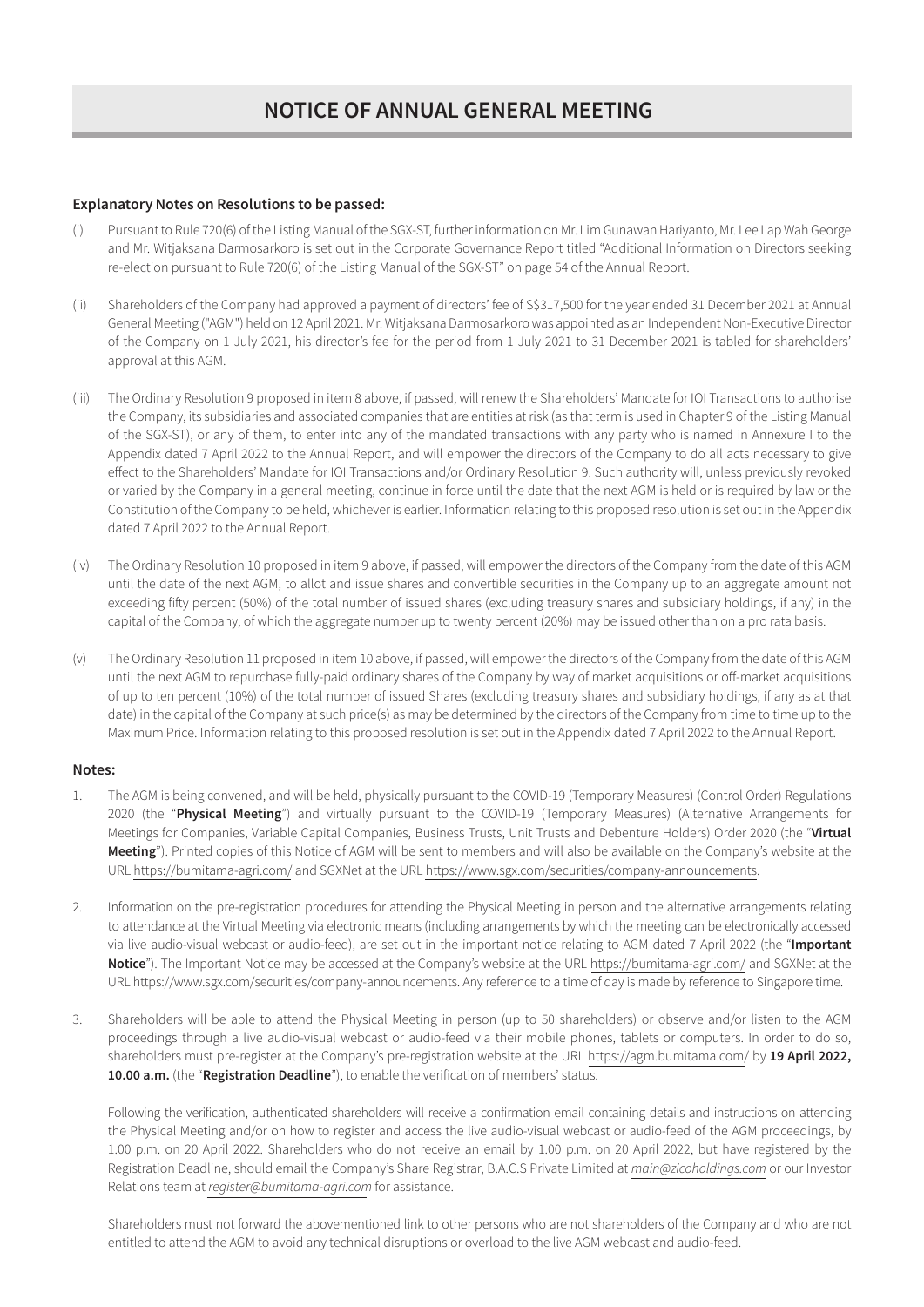# Explanatory Notes on Resolutions to be passed:

- Pursuant to Rule 720(6) of the Listing Manual of the SGX-ST, further information on Mr. Lim Gunawan Hariyanto, Mr. Lee Lap Wah George and Mr. Witjaksana Darmosarkoro is set out in the Corporate Governance Report titled "Additional Information on Directors seeking re-election pursuant to Rule 720(6) of the Listing Manual of the SGX-ST" on page 54 of the Annual Report.
- (ii) Shareholders of the Company had approved a payment of directors' fee of S\$317,500 for the year ended 31 December 2021 at Annual General Meeting ("AGM") held on 12 April 2021. Mr. Witjaksana Darmosarkoro was appointed as an Independent Non-Executive Director of the Company on 1 July 2021, his director's fee for the period from 1 July 2021 to 31 December 2021 is tabled for shareholders' approval at this AGM.
- (iii) The Ordinary Resolution 9 proposed in item 8 above, if passed, will renew the Shareholders' Mandate for IOI Transactions to authorise the Company, its subsidiaries and associated companies that are entities at risk (as that term is used in Chapter 9 of the Listing Manual of the SGX-ST), or any of them, to enter into any of the mandated transactions with any party who is named in Annexure I to the Appendix dated 7 April 2022 to the Annual Report, and will empower the directors of the Company to do all acts necessary to give effect to the Shareholders' Mandate for IOI Transactions and/or Ordinary Resolution 9. Such authority will, unless previously revoked or varied by the Company in a general meeting, continue in force until the date that the next AGM is held or is required by law or the Constitution of the Company to be held, whichever is earlier. Information relating to this proposed resolution is set out in the Appendix dated 7 April 2022 to the Annual Report.
- (iv) The Ordinary Resolution 10 proposed in item 9 above, if passed, will empower the directors of the Company from the date of this AGM until the date of the next AGM, to allot and issue shares and convertible securities in the Company up to an aggregate amount not exceeding fifty percent (50%) of the total number of issued shares (excluding treasury shares and subsidiary holdings, if any) in the capital of the Company, of which the aggregate number up to twenty percent (20%) may be issued other than on a pro rata basis.
- (v) The Ordinary Resolution 11 proposed in item 10 above, if passed, will empower the directors of the Company from the date of this AGM until the next AGM to repurchase fully-paid ordinary shares of the Company by way of market acquisitions or off-market acquisitions of up to ten percent (10%) of the total number of issued Shares (excluding treasury shares and subsidiary holdings, if any as at that date) in the capital of the Company at such price(s) as may be determined by the directors of the Company from time to time up to the Maximum Price. Information relating to this proposed resolution is set out in the Appendix dated 7 April 2022 to the Annual Report.

# Notes:

- 1. The AGM is being convened, and will be held, physically pursuant to the COVID-19 (Temporary Measures) (Control Order) Regulations 2020 (the "Physical Meeting") and virtually pursuant to the COVID-19 (Temporary Measures) (Alternative Arrangements for Meetings for Companies, Variable Capital Companies, Business Trusts, Unit Trusts and Debenture Holders) Order 2020 (the "Virtual Meeting"). Printed copies of this Notice of AGM will be sent to members and will also be available on the Company's website at the URL https://bumitama-agri.com/ and SGXNet at the URL https://www.sgx.com/securities/company-announcements.
- 2. Information on the pre-registration procedures for attending the Physical Meeting in person and the alternative arrangements relating to attendance at the Virtual Meeting via electronic means (including arrangements by which the meeting can be electronically accessed via live audio-visual webcast or audio-feed), are set out in the important notice relating to AGM dated 7 April 2022 (the "Important Notice"). The Important Notice may be accessed at the Company's website at the URL https://bumitama-agri.com/ and SGXNet at the URL https://www.sgx.com/securities/company-announcements. Any reference to a time of day is made by reference to Singapore time.
- 3. Shareholders will be able to attend the Physical Meeting in person (up to 50 shareholders) or observe and/or listen to the AGM proceedings through a live audio-visual webcast or audio-feed via their mobile phones, tablets or computers. In order to do so, shareholders must pre-register at the Company's pre-registration website at the URL https://agm.bumitama.com/ by 19 April 2022, 10.00 a.m. (the "Registration Deadline"), to enable the verification of members' status.

Following the verification, authenticated shareholders will receive a confirmation email containing details and instructions on attending the Physical Meeting and/or on how to register and access the live audio-visual webcast or audio-feed of the AGM proceedings, by 1.00 p.m. on 20 April 2022. Shareholders who do not receive an email by 1.00 p.m. on 20 April 2022, but have registered by the Registration Deadline, should email the Company's Share Registrar, B.A.C.S Private Limited at *main@zicoholdings.com* or our Investor Relations team at *register@bumitama-agri.com* for assistance.

Shareholders must not forward the abovementioned link to other persons who are not shareholders of the Company and who are not entitled to attend the AGM to avoid any technical disruptions or overload to the live AGM webcast and audio-feed.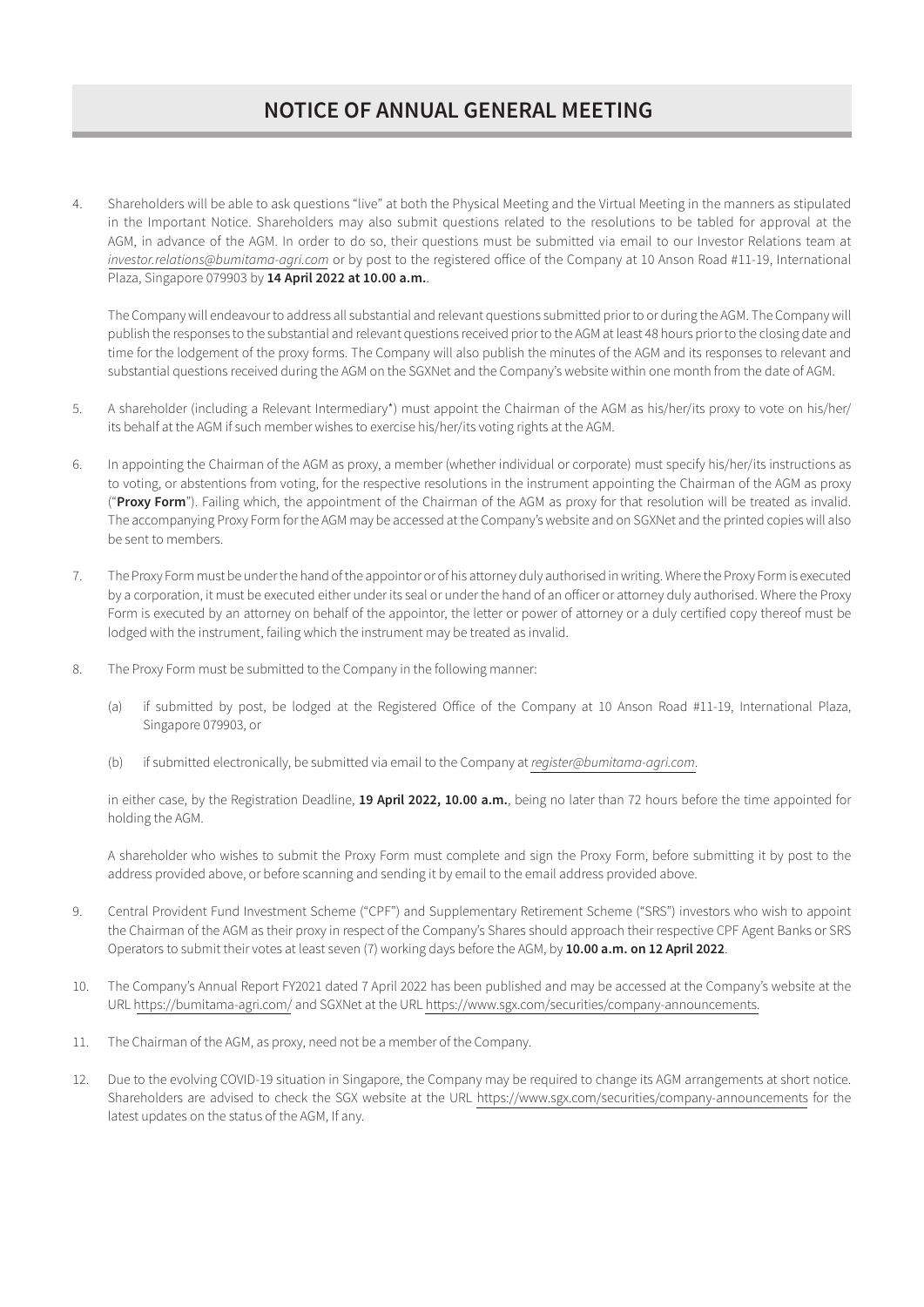# NOTICE OF ANNUAL GENERAL MEETING

4. Shareholders will be able to ask questions "live" at both the Physical Meeting and the Virtual Meeting in the manners as stipulated in the Important Notice. Shareholders may also submit questions related to the resolutions to be tabled for approval at the AGM, in advance of the AGM. In order to do so, their questions must be submitted via email to our Investor Relations team at *investor.relations@bumitama-agri.com* or by post to the registered office of the Company at 10 Anson Road #11-19, International Plaza, Singapore 079903 by 14 April 2022 at 10.00 a.m..

The Company will endeavour to address all substantial and relevant questions submitted prior to or during the AGM. The Company will publish the responses to the substantial and relevant questions received prior to the AGM at least 48 hours prior to the closing date and time for the lodgement of the proxy forms. The Company will also publish the minutes of the AGM and its responses to relevant and substantial questions received during the AGM on the SGXNet and the Company's website within one month from the date of AGM.

- 5. A shareholder (including a Relevant Intermediary\*) must appoint the Chairman of the AGM as his/her/its proxy to vote on his/her/ its behalf at the AGM if such member wishes to exercise his/her/its voting rights at the AGM.
- 6. In appointing the Chairman of the AGM as proxy, a member (whether individual or corporate) must specify his/her/its instructions as to voting, or abstentions from voting, for the respective resolutions in the instrument appointing the Chairman of the AGM as proxy ("Proxy Form"). Failing which, the appointment of the Chairman of the AGM as proxy for that resolution will be treated as invalid. The accompanying Proxy Form for the AGM may be accessed at the Company's website and on SGXNet and the printed copies will also be sent to members.
- 7. The Proxy Form must be under the hand of the appointor or of his attorney duly authorised in writing. Where the Proxy Form is executed by a corporation, it must be executed either under its seal or under the hand of an officer or attorney duly authorised. Where the Proxy Form is executed by an attorney on behalf of the appointor, the letter or power of attorney or a duly certified copy thereof must be lodged with the instrument, failing which the instrument may be treated as invalid.
- 8. The Proxy Form must be submitted to the Company in the following manner:
	- (a) if submitted by post, be lodged at the Registered Office of the Company at 10 Anson Road #11-19, International Plaza, Singapore 079903, or
	- (b) if submitted electronically, be submitted via email to the Company at *register@bumitama-agri.com*.

in either case, by the Registration Deadline, 19 April 2022, 10.00 a.m., being no later than 72 hours before the time appointed for holding the AGM.

A shareholder who wishes to submit the Proxy Form must complete and sign the Proxy Form, before submitting it by post to the address provided above, or before scanning and sending it by email to the email address provided above.

- 9. Central Provident Fund Investment Scheme ("CPF") and Supplementary Retirement Scheme ("SRS") investors who wish to appoint the Chairman of the AGM as their proxy in respect of the Company's Shares should approach their respective CPF Agent Banks or SRS Operators to submit their votes at least seven (7) working days before the AGM, by 10.00 a.m. on 12 April 2022.
- 10. The Company's Annual Report FY2021 dated 7 April 2022 has been published and may be accessed at the Company's website at the URL https://bumitama-agri.com/ and SGXNet at the URL https://www.sgx.com/securities/company-announcements.
- 11. The Chairman of the AGM, as proxy, need not be a member of the Company.
- 12. Due to the evolving COVID-19 situation in Singapore, the Company may be required to change its AGM arrangements at short notice. Shareholders are advised to check the SGX website at the URL https://www.sgx.com/securities/company-announcements for the latest updates on the status of the AGM, If any.